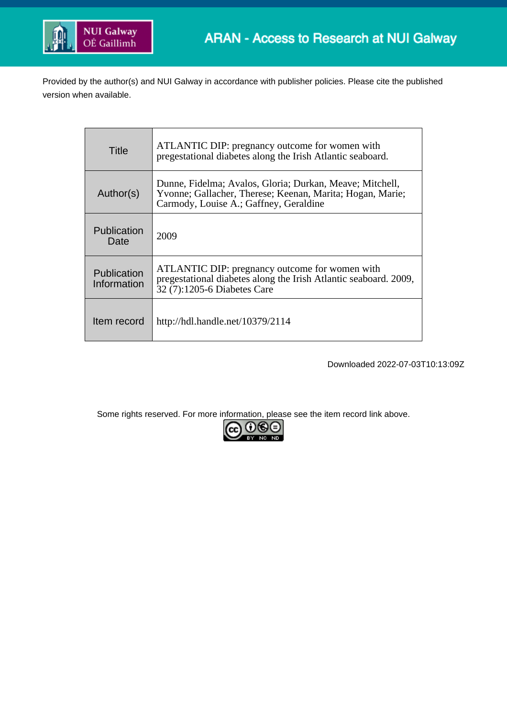

Provided by the author(s) and NUI Galway in accordance with publisher policies. Please cite the published version when available.

| Title                      | ATLANTIC DIP: pregnancy outcome for women with<br>pregestational diabetes along the Irish Atlantic seaboard.                                                    |
|----------------------------|-----------------------------------------------------------------------------------------------------------------------------------------------------------------|
| Author(s)                  | Dunne, Fidelma; Avalos, Gloria; Durkan, Meave; Mitchell,<br>Yvonne; Gallacher, Therese; Keenan, Marita; Hogan, Marie;<br>Carmody, Louise A.; Gaffney, Geraldine |
| Publication<br>Date        | 2009                                                                                                                                                            |
| Publication<br>Information | ATLANTIC DIP: pregnancy outcome for women with<br>pregestational diabetes along the Irish Atlantic seaboard. 2009,<br>32 (7):1205-6 Diabetes Care               |
| Item record                | http://hdl.handle.net/10379/2114                                                                                                                                |

Downloaded 2022-07-03T10:13:09Z

Some rights reserved. For more information, please see the item record link above.

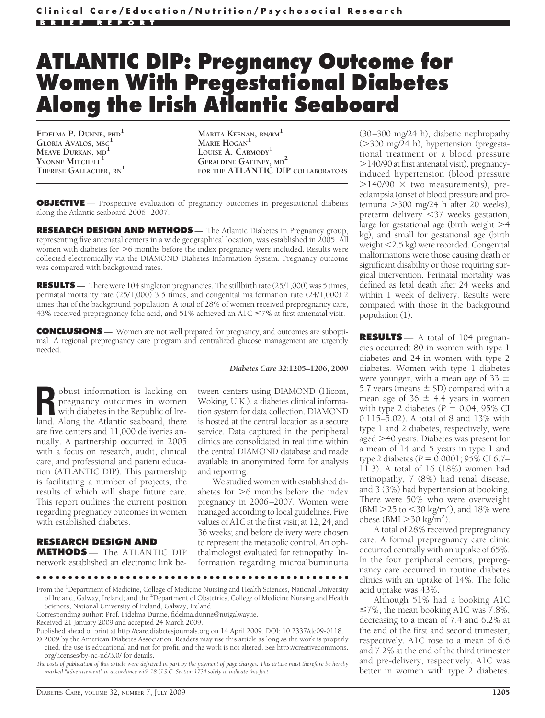## **ATLANTIC DIP: Pregnancy Outcome for Women With Pregestational Diabetes Along the Irish Atlantic Seaboard**

**FIDELMA P. DUNNE, PHD<sup>1</sup> GLORIA AVALOS, MSC<sup>1</sup> MEAVE DURKAN, MD<sup>1</sup>** YVONNE MITCHELL<sup>1</sup> **THERESE GALLACHER, RN<sup>1</sup>**

**MARITA KEENAN, RN/RM<sup>1</sup> MARIE HOGAN LOUISE A. CARMODY**<sup>1</sup> **GERALDINE GAFFNEY, MD<sup>2</sup> FOR THE ATLANTIC DIP COLLABORATORS**

**OBJECTIVE** — Prospective evaluation of pregnancy outcomes in pregestational diabetes along the Atlantic seaboard 2006–2007.

**RESEARCH DESIGN AND METHODS** — The Atlantic Diabetes in Pregnancy group, representing five antenatal centers in a wide geographical location, was established in 2005. All women with diabetes for  $>$ 6 months before the index pregnancy were included. Results were collected electronically via the DIAMOND Diabetes Information System. Pregnancy outcome was compared with background rates.

**RESULTS** — There were 104 singleton pregnancies. The stillbirth rate (25/1,000) was 5 times, perinatal mortality rate (25/1,000) 3.5 times, and congenital malformation rate (24/1,000) 2 times that of the background population. A total of 28% of women received prepregnancy care, 43% received prepregnancy folic acid, and  $51\%$  achieved an A1C  $\leq$ 7% at first antenatal visit.

**CONCLUSIONS** — Women are not well prepared for pregnancy, and outcomes are suboptimal. A regional prepregnancy care program and centralized glucose management are urgently needed.

*Diabetes Care* **32:1205–1206, 2009**

**R**obust information is lacking on pregnancy outcomes in women with diabetes in the Republic of Ireland. Along the Atlantic seaboard, there are five centers and 11,000 deliveries annually. A partnership occurred in 2005 with a focus on research, audit, clinical care, and professional and patient education (ATLANTIC DIP). This partnership is facilitating a number of projects, the results of which will shape future care. This report outlines the current position regarding pregnancy outcomes in women with established diabetes.

## **RESEARCH DESIGN AND**

**METHODS** — The ATLANTIC DIP network established an electronic link be-

tween centers using DIAMOND (Hicom, Woking, U.K.), a diabetes clinical information system for data collection. DIAMOND is hosted at the central location as a secure service. Data captured in the peripheral clinics are consolidated in real time within the central DIAMOND database and made available in anonymized form for analysis and reporting.

We studied women with established diabetes for  $>6$  months before the index pregnancy in 2006–2007. Women were managed according to local guidelines. Five values of A1C at the first visit; at 12, 24, and 36 weeks; and before delivery were chosen to represent the metabolic control. An ophthalmologist evaluated for retinopathy. Information regarding microalbuminuria

●●●●●●●●●●●●●●●●●●●●●●●●●●●●●●●●●●●●●●●●●●●●●●●●● From the <sup>1</sup>Department of Medicine, College of Medicine Nursing and Health Sciences, National University

Corresponding author: Prof. Fidelma Dunne, fidelma.dunne@nuigalway.ie.

Published ahead of print at http://care.diabetesjournals.org on 14 April 2009. DOI: 10.2337/dc09-0118.

© 2009 by the American Diabetes Association. Readers may use this article as long as the work is properly cited, the use is educational and not for profit, and the work is not altered. See http://creativecommons.

org/licenses/by-nc-nd/3.0/ for details. *The costs of publication of this article were defrayed in part by the payment of page charges. This article must therefore be hereby marked "advertisement" in accordance with 18 U.S.C. Section 1734 solely to indicate this fact.*

(30–300 mg/24 h), diabetic nephropathy (300 mg/24 h), hypertension (pregestational treatment or a blood pressure 140/90 at first antenatal visit), pregnancyinduced hypertension (blood pressure  $>$ 140/90  $\times$  two measurements), preeclampsia (onset of blood pressure and proteinuria 300 mg/24 h after 20 weeks), preterm delivery 37 weeks gestation, large for gestational age (birth weight  $>4$ kg), and small for gestational age (birth weight 2.5 kg) were recorded. Congenital malformations were those causing death or significant disability or those requiring surgical intervention. Perinatal mortality was defined as fetal death after 24 weeks and within 1 week of delivery. Results were compared with those in the background population (1).

**RESULTS** — A total of 104 pregnancies occurred: 80 in women with type 1 diabetes and 24 in women with type 2 diabetes. Women with type 1 diabetes were younger, with a mean age of 33  $\pm$ 5.7 years (means  $\pm$  SD) compared with a mean age of  $36 \pm 4.4$  years in women with type 2 diabetes  $(P = 0.04; 95\% \text{ CI}$ 0.115–5.02). A total of 8 and 13% with type 1 and 2 diabetes, respectively, were aged 40 years. Diabetes was present for a mean of 14 and 5 years in type 1 and type 2 diabetes ( $P = 0.0001$ ; 95% CI 6.7– 11.3). A total of 16 (18%) women had retinopathy, 7 (8%) had renal disease, and 3 (3%) had hypertension at booking. There were 50% who were overweight  $(BMI > 25$  to  $<$  30 kg/m<sup>2</sup>), and 18% were obese (BMI  $>$  30 kg/m<sup>2</sup>).

A total of 28% received prepregnancy care. A formal prepregnancy care clinic occurred centrally with an uptake of 65%. In the four peripheral centers, prepregnancy care occurred in routine diabetes clinics with an uptake of 14%. The folic acid uptake was 43%.

Although 51% had a booking A1C  $\leq$ 7%, the mean booking A1C was 7.8%, decreasing to a mean of 7.4 and 6.2% at the end of the first and second trimester, respectively. A1C rose to a mean of 6.6 and 7.2% at the end of the third trimester and pre-delivery, respectively. A1C was better in women with type 2 diabetes.

of Ireland, Galway, Ireland; and the <sup>2</sup>Department of Obstetrics, College of Medicine Nursing and Health Sciences, National University of Ireland, Galway, Ireland.

Received 21 January 2009 and accepted 24 March 2009.